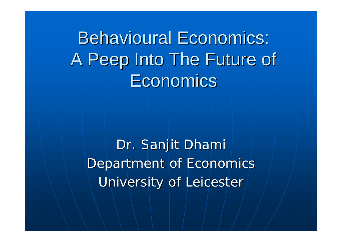Behavioural Economics: A Peep Into The Future of **Economics** 

Dr. Sanjit Dhami Department of Economics University of Leicester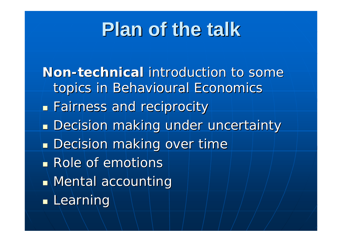# **Plan of the talk Plan of the talk**

**Non-technical** introduction to some topics in Behavioural Economics **Eairness and reciprocity Decision making under uncertainty Decision making under uncertainty Decision making over time Decision making over time Role of emotions**  $\blacksquare$  Mental accounting **Learning**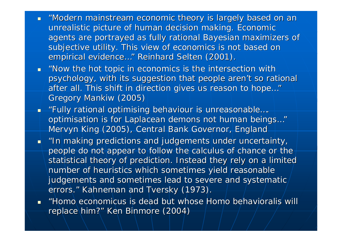- $\blacksquare$  "Modern mainstream economic theory is largely based on an unrealistic picture of human decision making. Economic agents are portrayed as fully rational Bayesian maximizers of subjective utility. This view of economics is not based on empirical evidence..." *Reinhard Selten (2001).*
- *"Now the hot topic in economics is the intersection with Now the hot topic in economics is the intersection with psychology, with its suggestion that people aren't so rational after all. This shift in direction gives us reason to hope after all. This shift in direction gives us reason to hope…" Gregory Gregory Mankiw (2005)*
- *"Fully rational optimising behaviour is unreasonable Fully rational optimising behaviour is unreasonable…. optimisation is for Laplacean demons not human beings..." Mervyn King (2005), Central Bank Governor, England*
- *"In making predictions and judgements under uncertainty, In making predictions and judgements under uncertainty, people do not appear to follow the calculus of chance or the statistical theory of prediction. Instead they rely on a limited statistical theory of prediction. Instead they rely on a limited number of heuristics which sometimes yield reasonable judgements and sometimes lead to severe and systematic judgements and sometimes lead to severe and systematic errors. errors." Kahneman Kahneman and Tversky Tversky (1973). (1973).*
- $\mathcal{L}$ *"Homo economicus economicus is dead is dead but whose Homo ose Homo behavioralis behavioralis will replace him?" Ken Binmore* (2004)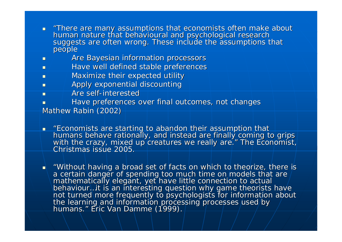- $\blacksquare$ ■ "There are many assumptions that economists often make about<br>human nature that behavioural and psychological research suggests are often wrong. These include the assumptions that<br>people
- П Are Bayesian information processors
- $\blacksquare$ Have well defined stable preferences
- $\blacksquare$ Maximize their expected utility
- $\blacksquare$ Apply exponential discounting Apply exponential discounting
- п **Are self-interested**

 $\blacksquare$ 

- $\overline{\phantom{0}}$ Have preferences over final outcomes, not changes *Mathew Rabin (2002) Mathew Rabin*
- $\blacksquare$ *"Economists are starting to abandon their assumption that hum a ns behave ra*with the crazy, mixed up creatures we really are." The Economist, *Christmas issue 2 005.*

**.** "Without having a broad set of facts on which to theorize, there is and a set on the manner of  $\alpha$ a certain danger of spending too much time on models that are<br>mathematically elegant, yet have little connection to actual<br>behaviour...it is an interesting question why game theorists have behaviour...it is an interesting question why game theorists have<br>not turned more frequently to psychologists for information about<br>the learning and information processing processes used by<br>humans." Eric Van Damme (1999).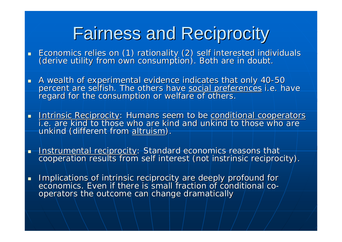# Fairness and Reciprocity Fairness and Reciprocity

- Economics relies on (1) rationality (2) self interested individuals<br>(derive utility from own consumption). Both are in doubt.
- A wealth of experimental evidence indicates that only 40-50<br>percent are selfish. The others have <u>social preferences</u> i.e. have<br>regard for the consumption or welfare of others.
- Intrinsic Reciprocity: Humans seem to be <u>conditional cooperators</u><br>i.e. are kind to those who are kind and unkind to those who are unkind (different from altruism).
- <u>Instrumental reciprocity</u>: Standard economics reasons that<br>. cooperation results from self interest (not instrinsic reciprocity)
- $\blacksquare$  Implications of intrinsic reciprocity are deeply profound for economics. Even if there is small fraction of conditional/cooperators the outcome can change dramatically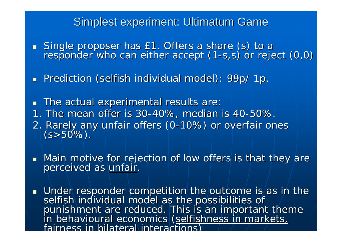### Simplest experiment: Ultimatum Game

**Single proposer has** Single proposer has £1. Offers a share (s) to a<br>responder who can either accept (1-s,s) or reject (0,0)

**Prediction (selfish individual model): 99p/ 1p.** 

 $\blacksquare$  The actual experimental results are:

- 1. The mean offer is 30-40%, median is 40-50%.
- 2. Rarely any unfair offers (0-10%) or overfair ones<br>| (s>50%).
- $\blacksquare$ Main motive for rejection of low offers is that they are perceived as unfair.
- Under responder competition the outcome is as in the selfish individual model as the possibilities of<br>punishment are reduced. This is an important theme<br>in behavioural economics (selfishness in markets, fairness in bilateral interactions)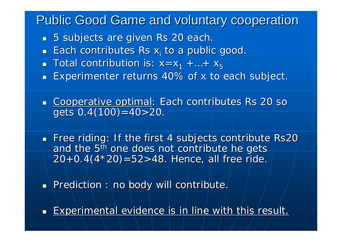Public Good Game and voluntary cooperation

- $\textcolor{red}{\bullet}$  5 subjects are given Rs 20 each.
- $\blacksquare$  Each contributes Rs  $x_i$  to a public good.
- $\blacksquare$  Total contribution is:  $x{=}x_1 + ... + x_5$
- **Experimenter returns 40% of x to each subject.**  $\blacksquare$
- Cooperative optimal: Each contributes Rs 20 so gets  $0.4(100)=40>20$ .
- $\blacksquare$  Free riding: If the first 4 subjects contribute Rs20  $\blacksquare$ and the 5<sup>th</sup> one does not contribute he gets  $\,$  $20+0.4(4*20)=52>48$ . Hence, all free ride.
- $\blacksquare$  \Prediction :\no body will contribute.
- $\blacksquare$  Experimental evidence is in line with this result.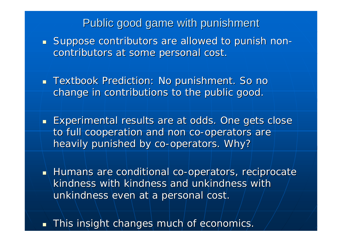### Public good game with punishment

- $\textcolor{red}{\bullet}$  Suppose contributors are allowed to punish non contributors at some personal cost.
- $\blacksquare$  Textbook Prediction: No punishment. So no  $\blacksquare$ change in contributions to the public good.
- **Experimental results are at odds. One gets close** to full cooperation and non co-operators are heavily punished by co-operators. Why?
- Humans are conditional co-operators, reciprocate kindness with kindness and unkindness with unkindness even at a personal cost.
- $\blacksquare$ This insight changes much of economics. This insight changes much of economics.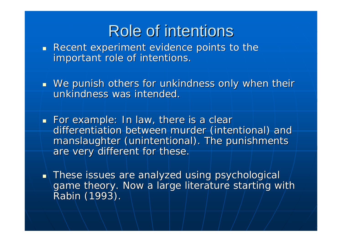## Role of intentions

- $\blacksquare$  Recent experiment evidence points to the important role of intentions.
- $\blacksquare$  We punish others for unkindness only when their unkindness was intended.
- For example: In law, there is a clear differentiation between murder (intentional) and manslaughter (unintentional). The punishments are very different for these.
- $\blacksquare\setminus$  These issues are analyzed using psychological game theory. Now a large literature starting with Rabin (1993).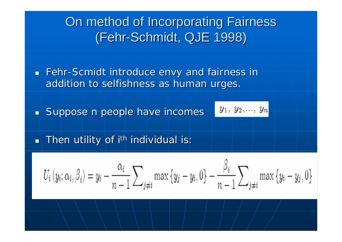### On method of Incorporating Fairness (Fehr-Schmidt, QJE 1998)

**Examps 1 Fehr-Scmidt introduce envy and fairness in** addition to selfishness as human urges.

 $\blacksquare$  Suppose n people have incomes

$$
y_1, y_2, \ldots, y_n
$$

 $\blacksquare$  Then utility of i $^{\sf th}$  individual is:  $\blacksquare$ 

$$
U_i(y_i; \alpha_i, \beta_i) = y_i - \frac{\alpha_i}{n-1} \sum_{j \neq i} \max\{y_j - y_i, 0\} - \frac{\beta_i}{n-1} \sum_{j \neq i} \max\{y_i - y_j, 0\}
$$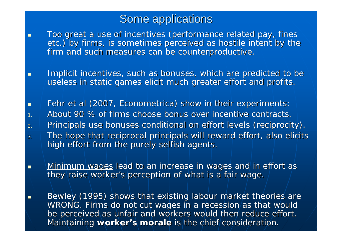### Some applications

 $\overline{\phantom{0}}$ 

Too great a use of incentives (performance related pay, fines etc.) by firms, is sometimes perceived as hostile intent by the firm and such measures can be counterproductive.

O Implicit incentives, such as bonuses, which are predicted to be useless in static games elicit much greater effort and profits.

П Fehr et al (2007, Econometrica) show in their experiments: 1. $\mathcal{A}=\mathcal{A}$  About 90 % of firms choose bonus over incentive contracts. 2.Principals use bonuses conditional on effort levels (reciprocity). 3.The hope that reciprocal principals will reward effort, also elicits high effort from the purely selfish agents.

Minimum wages lead to an increase in wages and in effort as they raise worker's perception of what is a fair wage.

 $\mathbb{R}^2$  Bewley (1995) shows that existing labour market theories are (1995) shows that existing labour market theories are WRONG. Firms do not cut wages in a recession/as that would be perceived as unfair and workers would then reduce effort. Maintaining worker's morale is the chief consideration.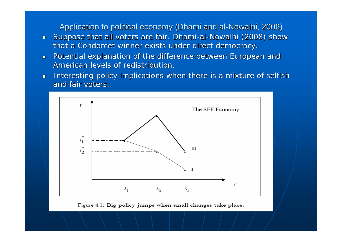Application to political economy (Dhami and al-Nowaihi, 2006)

- $\blacksquare$ **Suppose that all voters are fair. Dhami-al-Nowaihi (2008) show** that a Condorcet winner exists under direct democracy.
- $\blacksquare$ Potential explanation of the difference between European and American levels of redistribution.
- П Interesting policy implications when there is a mixture of selfish and fair voters.



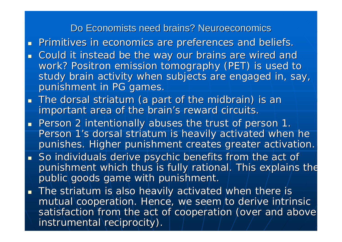#### Do Economists need brains? Neuroeconomics

- **Primitives in economics are preferences and beliefs.**  $\blacksquare$
- $\blacksquare$ Could it instead be the way our brains are wired and work? Positron emission tomography (PET) is used to study brain activity when subjects are engaged in, say, punishment in PG games.
- **The dorsal striatum (a part of the midbrain) is an** important area of the brain's reward circuits.
- **Person 2 intentionally abuses the trust of person 1.** Person 1's dorsal striatum is heavily activated when he punishes. Higher punishment creates greater activation.
- $\textsf{\textbf{I}}$  So individuals derive psychic benefits from the act of  $\textsf{\textbf{I}}$ punishment which thus is fully rational. This explains the public goods game with punishment.
- $\blacksquare$  The striatum is also heavily activated when there is mutual cooperation. Hence, we seem to derive intrinsic satisfaction from the act of cooperation (over and above instrumental reciprocity).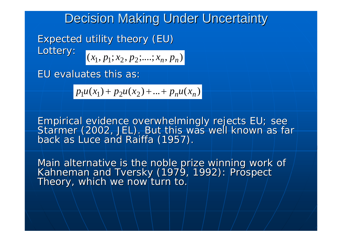### Decision Making Under Uncertainty

Expected utility theory (EU) Lottery:

 $(x_1, p_1; x_2, p_2; \ldots; x_n, p_n)$ 

EU evaluates this as:

 $p_1u(x_1) + p_2u(x_2) + ... + p_nu(x_n)$ 

Empirical evidence overwhelmingly rejects EU; see Empirical evidence overwhelmingly rejects EU; see<br>Starmer (2002, JEL). But this was well known as far back as Luce and Raiffa (1957).

Main alternative is the noble prize winning work of<br>Kahneman and Tversky (1979, 1992): Prospect Theory, which we now turn to. Theory, which we now turn to.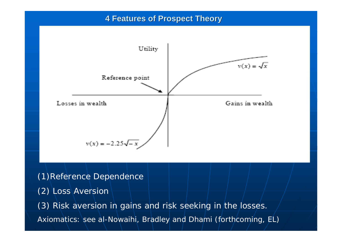#### **4 Features of Prospect Theory 4 Features of Prospect Theory**



(1)Reference Dependence

(2) Loss Aversion

(3) Risk aversion in gains and risk seeking in the losses. Axiomatics: see al-Nowaihi, Bradley and Dhami (forthcoming, EL)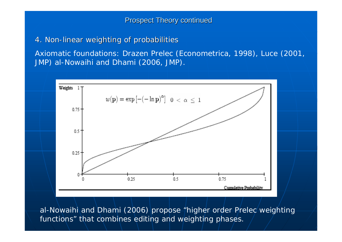**Prospect Theory continued** 

4. Non-linear weighting of probabilities

Axiomatic foundations: Drazen Prelec (Econometrica, 1998), Luce (2001, JMP) al-Nowaihi and Dhami (2006, JMP).



al-Nowaihi and Dhami (2006) propose "higher order Prelec weighting functions" that combines editing and weighting phases.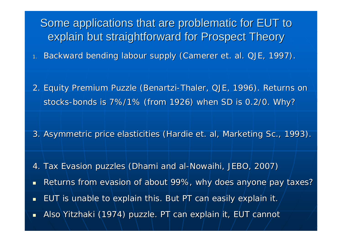Some applications that are problematic for EUT to explain but straightforward for Prospect Theory

1. Backward bending labour supply (Camerer et. al. QJE, 1997).

2. Equity Premium Puzzle (Benartzi-Thaler, QJE, 1996). Returns on , stocks-bonds is 7%/1% (from 1926) when SD is 0.2/0. Why?

3. Asymmetric price elasticities (Hardie et. al, Marketing Sc., 1993).

4. Tax Evasion puzzles|(Dhami and al-Nowaihi, JEBO, 2007)  $\blacksquare$ Returns from evasion of about 99%, why does anyone pay taxes?  $\blacksquare$ EUT is unable to explain this. But PT can easily explain it.  $\mathcal{L}$ ■ Also Yitzhaki (1974) puzzle. PT can explain it, EUT cannot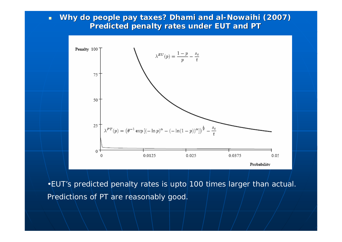$\blacksquare$ **Why do people pay taxes? Dhami and al-Nowaihi (2007) Predicted penalty rates under EUT and PT** 



•EUT's predicted penalty rates is upto 100 times larger than actual. Predictions of PT are reasonably good.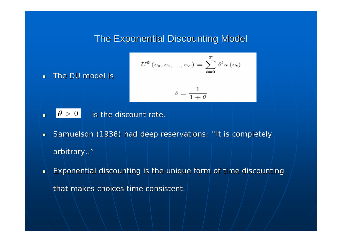### The Exponential Discounting Model

$$
U^{0}\left(c_{0}, c_{1}, ..., c_{T}\right) = \sum_{t=0}^{T} \delta^{t} u\left(c_{t}\right)
$$

п The DU model is

$$
\delta = \frac{1}{1+\theta}
$$

 $\overline{\phantom{a}}$  $\vert \cdot \vert \theta > 0 \vert$  is the discount rate.  $\theta > 0$ 

- $\blacksquare$ Samuelson (1936) had deep reservations: "It is completely arbitrary.."
- $\blacksquare$ Exponential discounting is the unique form of time discounting that makes choices time consistent.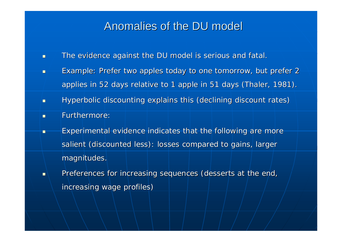### Anomalies of the DU model

- п The evidence against the DU model is serious and fatal.
- $\blacksquare$  $\blacksquare$  Example: Prefer two apples today to one tomorrow, but prefer 2applies in 52 days relative to 1 apple in 51 days (Thaler, 1981).
- П **• Byperbolic discounting explains this (declining discount rates)**
- $\blacksquare$ Furthermore:
- п Experimental evidence indicates that the following are more salient (discounted less): losses compared to gains, larger magnitudes.
- $\blacksquare$ Preferences for increasing sequences (desserts at the end, increasing wage profiles)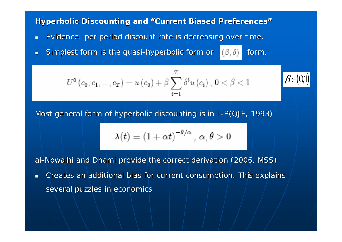#### **Hyperbolic Discounting and "Current Biased Preferences'**

- $\blacksquare$ Evidence: per period discount rate is decreasing over time.
- П Simplest form is the quasi-hyperbolic form or

$$
U^{\mathbf{0}}\left(c_{\mathbf{0}},c_{1},...,c_{T}\right)=u\left(c_{\mathbf{0}}\right)+\beta\sum_{t=1}^{T}\delta^{t}u\left(c_{t}\right),\,0<\beta<1
$$

Most general form of hyperbolic discounting is in L-P(QJE, 1993)

$$
\lambda(t) = (1 + \alpha t)^{-\theta/\alpha}, \, \alpha, \theta > 0
$$

form.

 $\beta$ ∈ ( 0,1)

al-Nowaihi and Dhami provide the correct derivation (2006, MSS)

 $\blacksquare$ Creates an additional bias for current consumption. This explains several puzzles in economics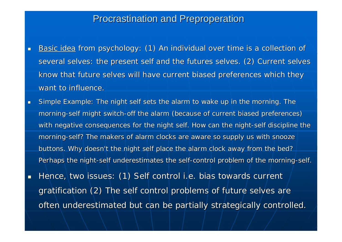#### **Procrastination and Preproperation**

 $\blacksquare$ 

- Basic idea from psychology: (1) An individual over time is a collection of several selves: the present self and the futures selves. (2) Current selves. know that future selves will have current biased preferences which they want to influence.
- $\blacksquare$ Simple Example: The night self sets the alarm to wake up in the morning. The morning-self might switch-off the alarm (because of current biased preferences) with negative consequences for the night self. How can the night-self discipline the morning-self? The makers of alarm clocks are aware so supply us with snooze buttons. Why doesn't the night self place the alarm clock away from the bed? Perhaps the night-self underestimates the self-control problem of the morning-self.
- $\blacksquare$ Hence, two issues: (1) Self control i.e. bias towards current gratification (2) The self control problems of future selves are often underestimated but can be partially strategically controlled.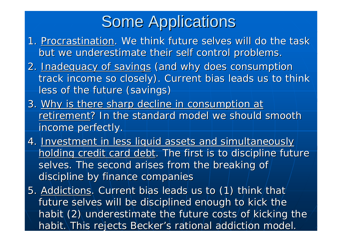## **Some Applications**

- 1. Procrastination. We think future selves will do the task . but we underestimate their self control problems.
- 2. Inadequacy of savings (and why does consumption track income so closely). Current bias leads us to think less of the future (savings)
- 3. Why is there sharp decline in consumption at retirement? In the standard model we should smooth income perfectly.
- 4. Investment in less liquid assets and simultaneously holding credit card debt. The first is to discipline future selves. The second arises from the breaking of discipline by finance companies
- 5. Addictions. Current bias leads us to (1) think that future selves will be disciplined enough to kick the habit (2) underestimate the future costs of kicking the habit.\This rejects Becker's rational addiction model.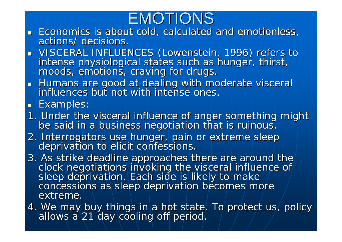## EMOTIONS

- $\blacksquare$  Economics is about cold, calculated and emotionless,  $\blacksquare$ actions/ decisions.
- **NISCERAL INFLUENCES (Lowenstein, 1996) refers to VISCERAL INFLUENCES (Lowenstein, 1996) refers to** intense physiological states such as hunger, thirst, moods, emotions, craving for drugs.
- $\overline{\phantom{0}}$ Humans are good at dealing with moderate visceral influences but not with intense ones.
- **Examples:**
- 1. Under the visceral influence of anger something might be said in a business negotiation that is ruinous.
- 2. Interrogators use hunger, pain or extreme sleep deprivation to elicit confessions.
- 3. As strike deadline approaches there are around the clock negotiations invoking the visceral influence of sleep deprivation. Each side is likely to make concessions as sleep deprivation becomes more extreme.
- 4. We may buy things in a hot state. To protect us, policy allows a 21 day cooling off period.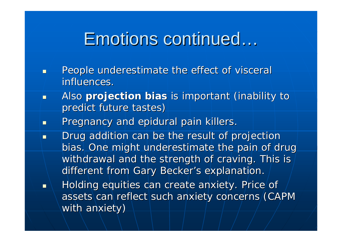## Emotions continued...

- П People underestimate the effect of visceral influences.
- $\blacksquare$ Also **projection bias** is important (inability to predict future tastes)
- П Pregnancy and epidural pain killers.
- П Drug addition can be the result of projection bias. One might underestimate the pain of drug withdrawal and the strength of craving. This is different from Gary Becker's explanation.
- П Holding equities can create anxiety. Price of assets can reflect such anxiety concerns (CAPM with anxiety)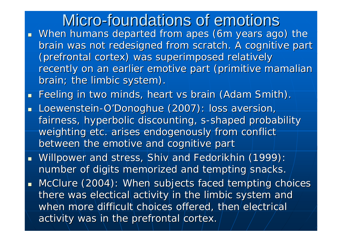## Micro-foundations of emotions

- **Nhen humans departed from apes (6m years ago) the** brain was not redesigned from scratch. A cognitive part (prefrontal cortex) was superimposed relatively (prefrontal cortex) was superimposed relatively recently on an earlier emotive part (primitive mamalian brain; the limbic system).
- $\Box$ Feeling in two minds, heart vs brain (Adam Smith).
- u. Loewenstein-O'Donoghue (2007): loss aversion, fairness, hyperbolic discounting, s-shaped probability weighting etc. arises endogenously from conflict between the emotive and cognitive part
- Willpower and stress, Shiv and Fedorikhin (1999): number of digits memorized and tempting snacks.
- $\blacksquare$  McClure (2004): When subjects faced tempting choices there was electical activity in the limbic system and  $\,$ when more difficult choices offered, then electrical activity was in the prefrontal cortex.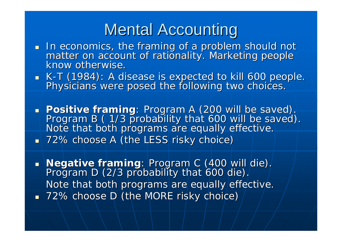## **Mental Accounting**

- In economics, the framing of a problem should not In each should not Indian should not In the fractionality. Marketing people know otherwise.
- K Physicians were posed the following two choices.
- $\overline{\phantom{0}}$ **Positive framing**: Program A (200 will be saved).<br>Program B (1/3 probability that 600 will be saved).<br>Note that both programs are equally effective.  $\textcolor{red}{\blacksquare}$  72% choose A (the LESS risky choice)

 $\overline{\phantom{a}}$ **Negative framing**: Program C (400 will die).<br>1. Program D (2/3 probability that 600 die). Note that both programs are equally effective.  $\textcolor{red}{\bullet}$  72% choose D (the MORE risky choice)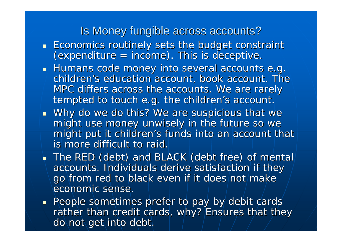### Is Money fungible across accounts?

- $\blacksquare$  Economics routinely sets the budget constraint  $(expenditure = income)$ . This is deceptive.
- $\blacksquare$  Humans code money into several accounts e.g.  $\blacksquare$ children's education account, book account. The MPC differs across the accounts. We are rarely tempted to touch e.g. the children's account.
- $\blacksquare$  Why do we do this? We are suspicious that we might use money unwisely in the future so we might put it children's funds into an account that is more difficult to raid.

The RED (debt) and BLACK (debt free) of mental accounts. Individuals derive satisfaction if they go from red to black even if it does not make economic sense.

 $\textcolor{red}{\bullet}$  People sometimes prefer to pay by debit cards rather than credit cards, why? Ensures that they do not get into debt.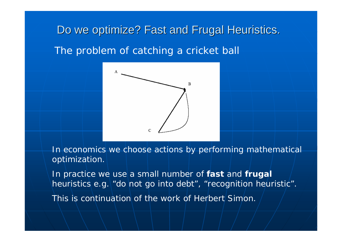## Do we optimize? Fast and Frugal Heuristics. The problem of catching a cricket ball



In economics we choose actions by performing mathematical optimization.

In practice we use a small number of **fast** and **frugal** heuristics e.g. "do not go into debt", "recognition heuristic". This is continuation of the work of Herbert Simon.